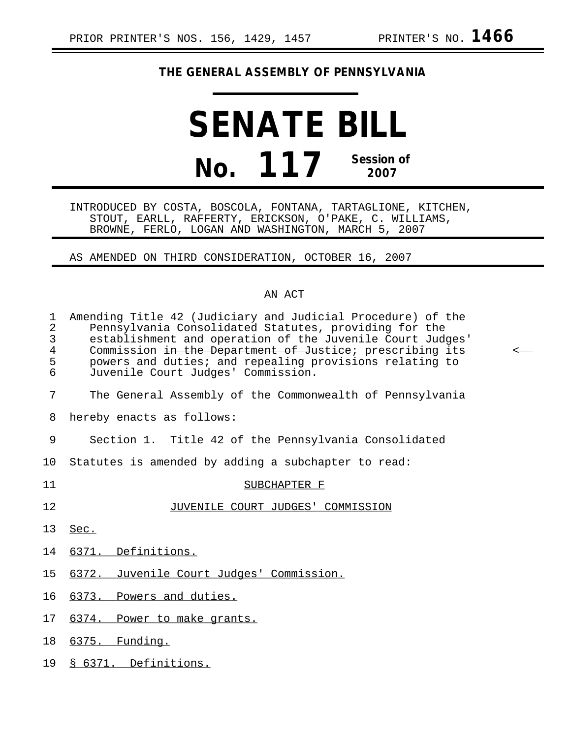## **THE GENERAL ASSEMBLY OF PENNSYLVANIA**

## **SENATE BILL No. 117 Session of 2007**

INTRODUCED BY COSTA, BOSCOLA, FONTANA, TARTAGLIONE, KITCHEN, STOUT, EARLL, RAFFERTY, ERICKSON, O'PAKE, C. WILLIAMS, BROWNE, FERLO, LOGAN AND WASHINGTON, MARCH 5, 2007

AS AMENDED ON THIRD CONSIDERATION, OCTOBER 16, 2007

## AN ACT

| $\mathbf 1$<br>$\overline{a}$<br>3<br>$\overline{4}$<br>5<br>6 | Amending Title 42 (Judiciary and Judicial Procedure) of the<br>Pennsylvania Consolidated Statutes, providing for the<br>establishment and operation of the Juvenile Court Judges'<br>Commission in the Department of Justice; prescribing its<br>powers and duties; and repealing provisions relating to<br>Juvenile Court Judges' Commission. | $\,<\,$ |
|----------------------------------------------------------------|------------------------------------------------------------------------------------------------------------------------------------------------------------------------------------------------------------------------------------------------------------------------------------------------------------------------------------------------|---------|
| 7                                                              | The General Assembly of the Commonwealth of Pennsylvania                                                                                                                                                                                                                                                                                       |         |
| 8                                                              | hereby enacts as follows:                                                                                                                                                                                                                                                                                                                      |         |
| 9                                                              | Section 1. Title 42 of the Pennsylvania Consolidated                                                                                                                                                                                                                                                                                           |         |
| 10                                                             | Statutes is amended by adding a subchapter to read:                                                                                                                                                                                                                                                                                            |         |
| 11                                                             | SUBCHAPTER F                                                                                                                                                                                                                                                                                                                                   |         |
| 12                                                             | JUVENILE COURT JUDGES' COMMISSION                                                                                                                                                                                                                                                                                                              |         |
| 13                                                             | Sec.                                                                                                                                                                                                                                                                                                                                           |         |
| 14                                                             | 6371. Definitions.                                                                                                                                                                                                                                                                                                                             |         |
| 15                                                             | 6372. Juvenile Court Judges' Commission.                                                                                                                                                                                                                                                                                                       |         |
| 16                                                             | 6373. Powers and duties.                                                                                                                                                                                                                                                                                                                       |         |
| 17                                                             | 6374. Power to make grants.                                                                                                                                                                                                                                                                                                                    |         |
| 18                                                             | 6375. Funding.                                                                                                                                                                                                                                                                                                                                 |         |
| 19                                                             | § 6371. Definitions.                                                                                                                                                                                                                                                                                                                           |         |
|                                                                |                                                                                                                                                                                                                                                                                                                                                |         |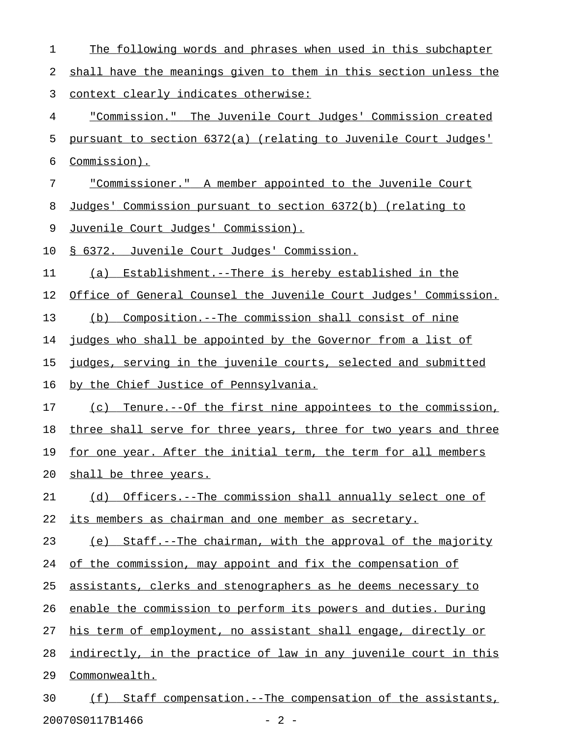| 1  | The following words and phrases when used in this subchapter     |
|----|------------------------------------------------------------------|
| 2  | shall have the meanings given to them in this section unless the |
| 3  | <u>context clearly indicates otherwise:</u>                      |
| 4  | "Commission." The Juvenile Court Judges' Commission created      |
| 5  | pursuant to section 6372(a) (relating to Juvenile Court Judges'  |
| 6  | Commission).                                                     |
| 7  | "Commissioner." A member appointed to the Juvenile Court         |
| 8  | Judges' Commission pursuant to section 6372(b) (relating to      |
| 9  | <u>Juvenile Court Judges' Commission).</u>                       |
| 10 | § 6372. Juvenile Court Judges' Commission.                       |
| 11 | Establishment.--There is hereby established in the<br>(a)        |
| 12 | Office of General Counsel the Juvenile Court Judges' Commission. |
| 13 | (b) Composition.--The commission shall consist of nine           |
| 14 | judges who shall be appointed by the Governor from a list of     |
| 15 | judges, serving in the juvenile courts, selected and submitted   |
| 16 | by the Chief Justice of Pennsylvania.                            |
| 17 | (c) Tenure.--Of the first nine appointees to the commission,     |
| 18 | three shall serve for three years, three for two years and three |
| 19 | for one year. After the initial term, the term for all members   |
| 20 | shall be three years.                                            |
| 21 | (d) Officers.--The commission shall annually select one of       |
| 22 | its members as chairman and one member as secretary.             |
| 23 | (e) Staff.--The chairman, with the approval of the majority      |
| 24 | of the commission, may appoint and fix the compensation of       |
| 25 | assistants, clerks and stenographers as he deems necessary to    |
| 26 | enable the commission to perform its powers and duties. During   |
| 27 | his term of employment, no assistant shall engage, directly or   |
| 28 | indirectly, in the practice of law in any juvenile court in this |
| 29 | Commonwealth.                                                    |
| 30 | Staff compensation.--The compensation of the assistants,<br>(f)  |

20070S0117B1466 - 2 -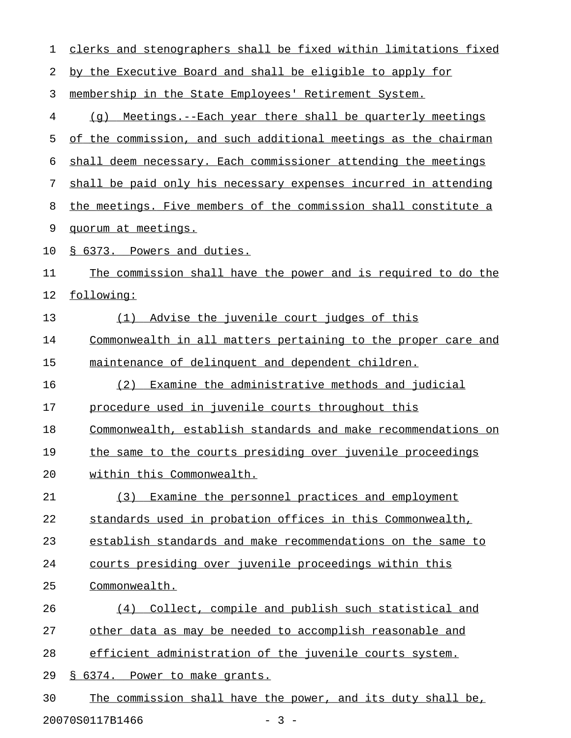| 1  | clerks and stenographers shall be fixed within limitations fixed |
|----|------------------------------------------------------------------|
| 2  | by the Executive Board and shall be eligible to apply for        |
| 3  | membership in the State Employees' Retirement System.            |
| 4  | Meetings.--Each year there shall be quarterly meetings<br>(q)    |
| 5  | of the commission, and such additional meetings as the chairman  |
| 6  | shall deem necessary. Each commissioner attending the meetings   |
| 7  | shall be paid only his necessary expenses incurred in attending  |
| 8  | the meetings. Five members of the commission shall constitute a  |
| 9  | quorum at meetings.                                              |
| 10 | § 6373. Powers and duties.                                       |
| 11 | The commission shall have the power and is required to do the    |
| 12 | following:                                                       |
| 13 | Advise the juvenile court judges of this<br>(1)                  |
| 14 | Commonwealth in all matters pertaining to the proper care and    |
| 15 | maintenance of delinquent and dependent children.                |
| 16 | Examine the administrative methods and judicial<br>(2)           |
| 17 | procedure used in juvenile courts throughout this                |
| 18 | Commonwealth, establish standards and make recommendations on    |
| 19 | the same to the courts presiding over juvenile proceedings       |
| 20 | within this Commonwealth.                                        |
| 21 | (3) Examine the personnel practices and employment               |
| 22 | standards used in probation offices in this Commonwealth,        |
| 23 | establish standards and make recommendations on the same to      |
| 24 | courts presiding over juvenile proceedings within this           |
| 25 | Commonwealth.                                                    |
| 26 | (4) Collect, compile and publish such statistical and            |
| 27 | other data as may be needed to accomplish reasonable and         |
| 28 | efficient administration of the juvenile courts system.          |
| 29 | § 6374. Power to make grants.                                    |
| 30 | The commission shall have the power, and its duty shall be,      |
|    | 20070S0117B1466<br>$-3-$                                         |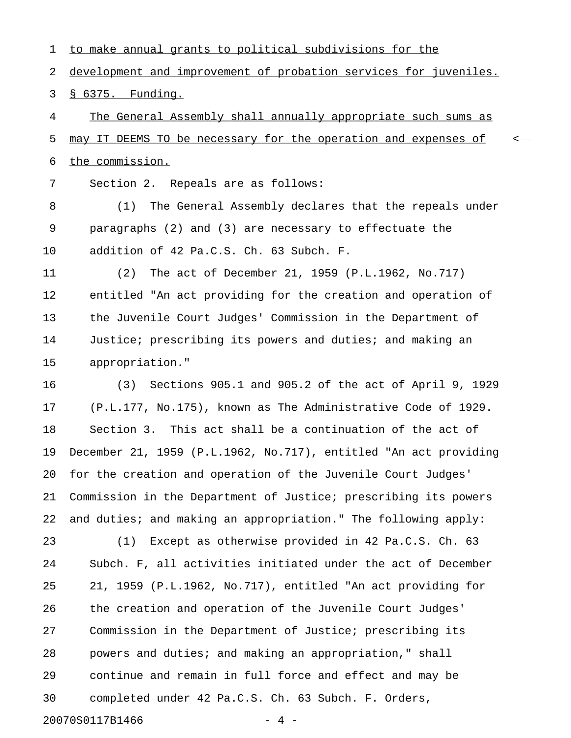1 to make annual grants to political subdivisions for the 2 development and improvement of probation services for juveniles. 3 § 6375. Funding.

4 The General Assembly shall annually appropriate such sums as 5  $\mu$ ay IT DEEMS TO be necessary for the operation and expenses of  $\sim$ 6 the commission.

7 Section 2. Repeals are as follows:

8 (1) The General Assembly declares that the repeals under 9 paragraphs (2) and (3) are necessary to effectuate the 10 addition of 42 Pa.C.S. Ch. 63 Subch. F.

11 (2) The act of December 21, 1959 (P.L.1962, No.717) 12 entitled "An act providing for the creation and operation of 13 the Juvenile Court Judges' Commission in the Department of 14 Justice; prescribing its powers and duties; and making an 15 appropriation."

16 (3) Sections 905.1 and 905.2 of the act of April 9, 1929 17 (P.L.177, No.175), known as The Administrative Code of 1929. 18 Section 3. This act shall be a continuation of the act of 19 December 21, 1959 (P.L.1962, No.717), entitled "An act providing 20 for the creation and operation of the Juvenile Court Judges' 21 Commission in the Department of Justice; prescribing its powers 22 and duties; and making an appropriation." The following apply:

23 (1) Except as otherwise provided in 42 Pa.C.S. Ch. 63 24 Subch. F, all activities initiated under the act of December 25 21, 1959 (P.L.1962, No.717), entitled "An act providing for 26 the creation and operation of the Juvenile Court Judges' 27 Commission in the Department of Justice; prescribing its 28 powers and duties; and making an appropriation," shall 29 continue and remain in full force and effect and may be 30 completed under 42 Pa.C.S. Ch. 63 Subch. F. Orders, 20070S0117B1466 - 4 -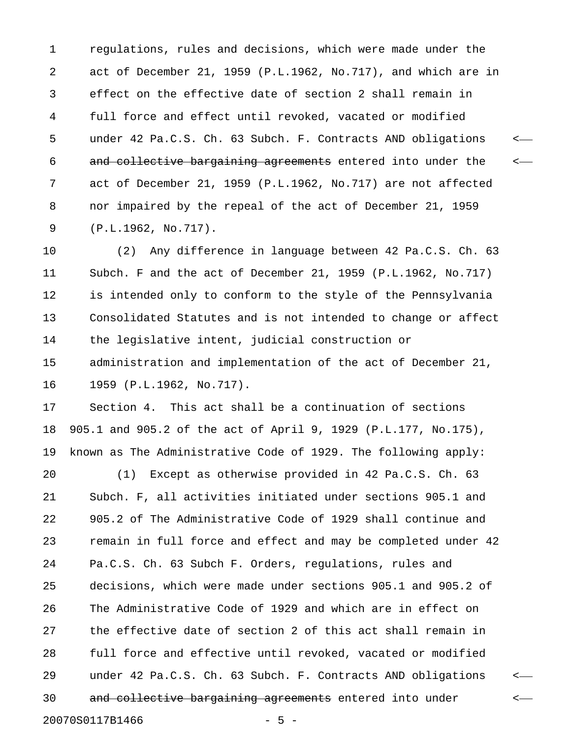1 regulations, rules and decisions, which were made under the 2 act of December 21, 1959 (P.L.1962, No.717), and which are in 3 effect on the effective date of section 2 shall remain in 4 full force and effect until revoked, vacated or modified 5 under 42 Pa.C.S. Ch. 63 Subch. F. Contracts AND obligations < 6 and collective bargaining agreements entered into under the  $\sim$ 7 act of December 21, 1959 (P.L.1962, No.717) are not affected 8 nor impaired by the repeal of the act of December 21, 1959 9 (P.L.1962, No.717).

10 (2) Any difference in language between 42 Pa.C.S. Ch. 63 11 Subch. F and the act of December 21, 1959 (P.L.1962, No.717) 12 is intended only to conform to the style of the Pennsylvania 13 Consolidated Statutes and is not intended to change or affect 14 the legislative intent, judicial construction or 15 administration and implementation of the act of December 21, 16 1959 (P.L.1962, No.717).

17 Section 4. This act shall be a continuation of sections 18 905.1 and 905.2 of the act of April 9, 1929 (P.L.177, No.175), 19 known as The Administrative Code of 1929. The following apply:

20 (1) Except as otherwise provided in 42 Pa.C.S. Ch. 63 21 Subch. F, all activities initiated under sections 905.1 and 22 905.2 of The Administrative Code of 1929 shall continue and 23 remain in full force and effect and may be completed under 42 24 Pa.C.S. Ch. 63 Subch F. Orders, regulations, rules and 25 decisions, which were made under sections 905.1 and 905.2 of 26 The Administrative Code of 1929 and which are in effect on 27 the effective date of section 2 of this act shall remain in 28 full force and effective until revoked, vacated or modified 29 under 42 Pa.C.S. Ch. 63 Subch. F. Contracts AND obligations < 30 and collective bargaining agreements entered into under  $\leftarrow$ 20070S0117B1466 - 5 -